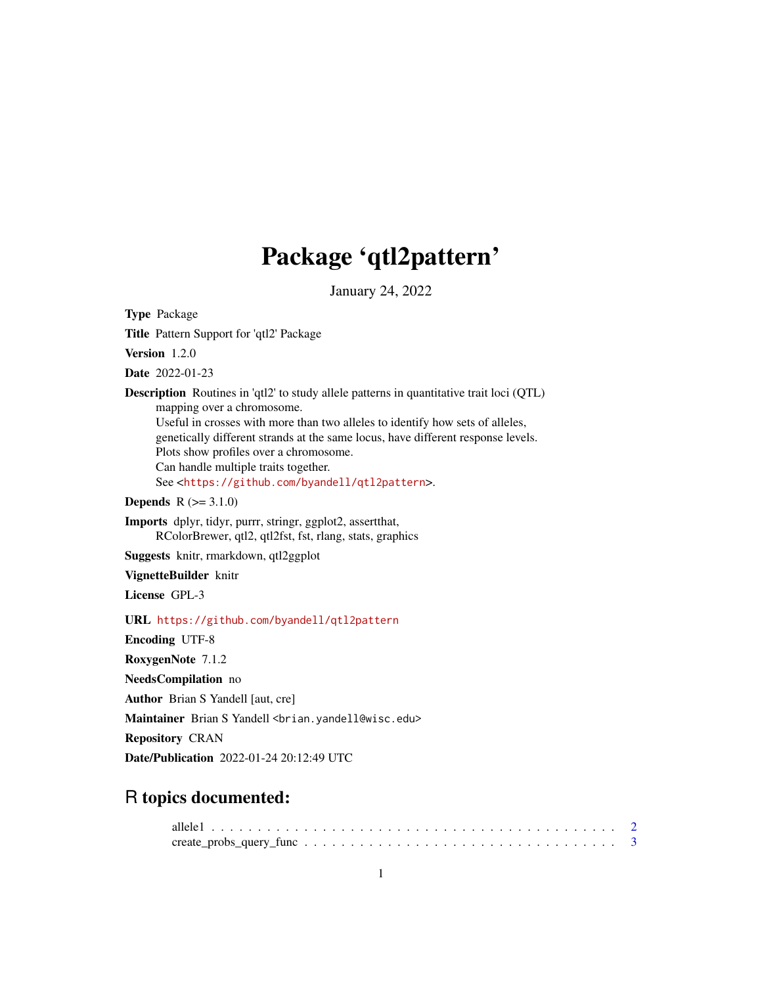# Package 'qtl2pattern'

January 24, 2022

<span id="page-0-0"></span>Type Package Title Pattern Support for 'qtl2' Package Version 1.2.0 Date 2022-01-23 Description Routines in 'qtl2' to study allele patterns in quantitative trait loci (QTL) mapping over a chromosome. Useful in crosses with more than two alleles to identify how sets of alleles, genetically different strands at the same locus, have different response levels. Plots show profiles over a chromosome. Can handle multiple traits together. See <<https://github.com/byandell/qtl2pattern>>. **Depends**  $R (= 3.1.0)$ Imports dplyr, tidyr, purrr, stringr, ggplot2, assertthat, RColorBrewer, qtl2, qtl2fst, fst, rlang, stats, graphics Suggests knitr, rmarkdown, qtl2ggplot VignetteBuilder knitr License GPL-3 URL <https://github.com/byandell/qtl2pattern> Encoding UTF-8 RoxygenNote 7.1.2 NeedsCompilation no Author Brian S Yandell [aut, cre] Maintainer Brian S Yandell <br />brian.yandell@wisc.edu> Repository CRAN Date/Publication 2022-01-24 20:12:49 UTC

# R topics documented: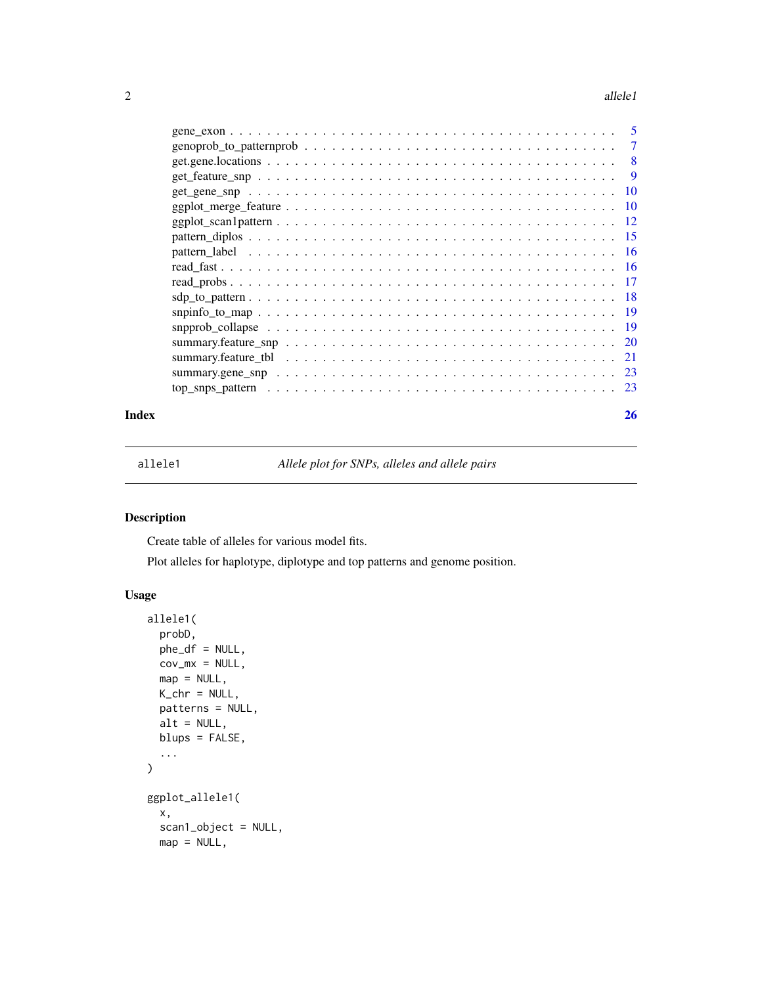#### <span id="page-1-0"></span>2 allele1

|  | - 5 |
|--|-----|
|  | 7   |
|  | 8   |
|  | 9   |
|  |     |
|  |     |
|  |     |
|  |     |
|  |     |
|  |     |
|  |     |
|  |     |
|  |     |
|  |     |
|  |     |
|  |     |
|  |     |
|  |     |
|  |     |

#### **Index** [26](#page-25-0)

<span id="page-1-1"></span>allele1 *Allele plot for SNPs, alleles and allele pairs*

# Description

Create table of alleles for various model fits.

Plot alleles for haplotype, diplotype and top patterns and genome position.

```
allele1(
 probD,
 phe_df = NULL,
 cov_m x = NULL,map = NULL,K_chr = NULL,
 patterns = NULL,
 alt = NULL,blups = FALSE,
  ...
\mathcal{L}ggplot_allele1(
 x,
  scan1_object = NULL,
 map = NULL,
```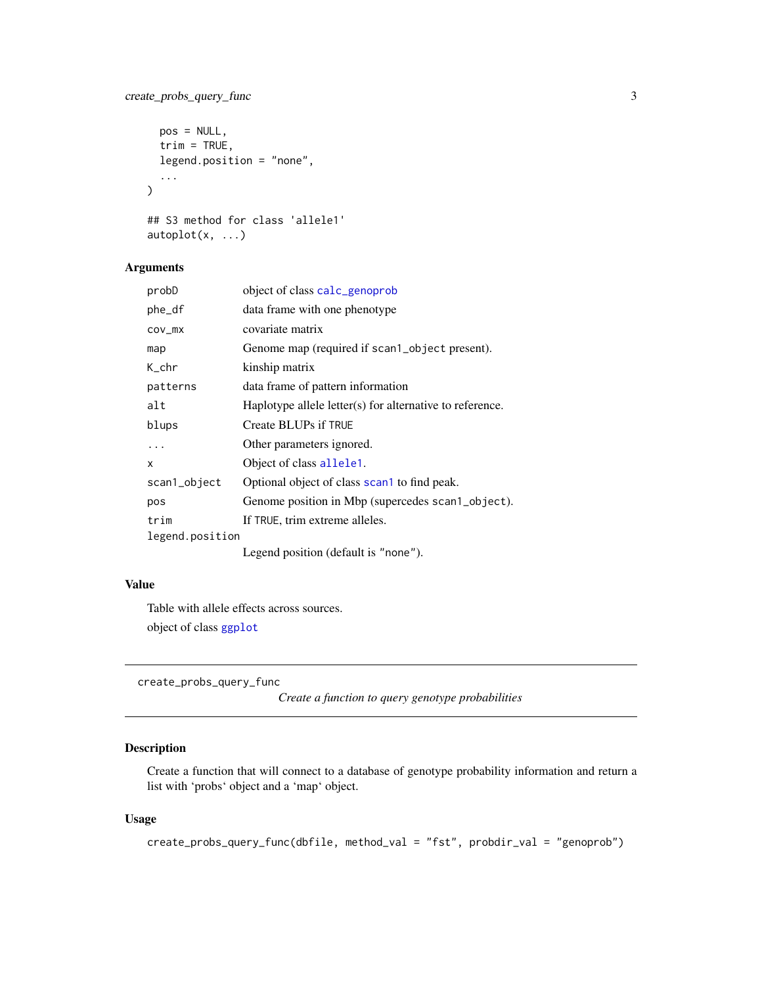# <span id="page-2-0"></span>create\_probs\_query\_func 3

```
pos = NULL,
  trim = TRUE,legend.position = "none",
  ...
\mathcal{L}## S3 method for class 'allele1'
autoplot(x, \ldots)
```
# Arguments

| probD           | object of class calc_genoprob                            |
|-----------------|----------------------------------------------------------|
| phe_df          | data frame with one phenotype                            |
| COV_MX          | covariate matrix                                         |
| map             | Genome map (required if scan1_object present).           |
| K_chr           | kinship matrix                                           |
| patterns        | data frame of pattern information                        |
| alt             | Haplotype allele letter(s) for alternative to reference. |
| blups           | Create BLUPs if TRUE                                     |
| .               | Other parameters ignored.                                |
| x               | Object of class allele1.                                 |
| scan1_object    | Optional object of class scan1 to find peak.             |
| pos             | Genome position in Mbp (supercedes scan1_object).        |
| trim            | If TRUE, trim extreme alleles.                           |
| legend.position |                                                          |
|                 | Legend position (default is "none").                     |

#### Value

Table with allele effects across sources.

object of class [ggplot](#page-0-0)

create\_probs\_query\_func

*Create a function to query genotype probabilities*

# Description

Create a function that will connect to a database of genotype probability information and return a list with 'probs' object and a 'map' object.

```
create_probs_query_func(dbfile, method_val = "fst", probdir_val = "genoprob")
```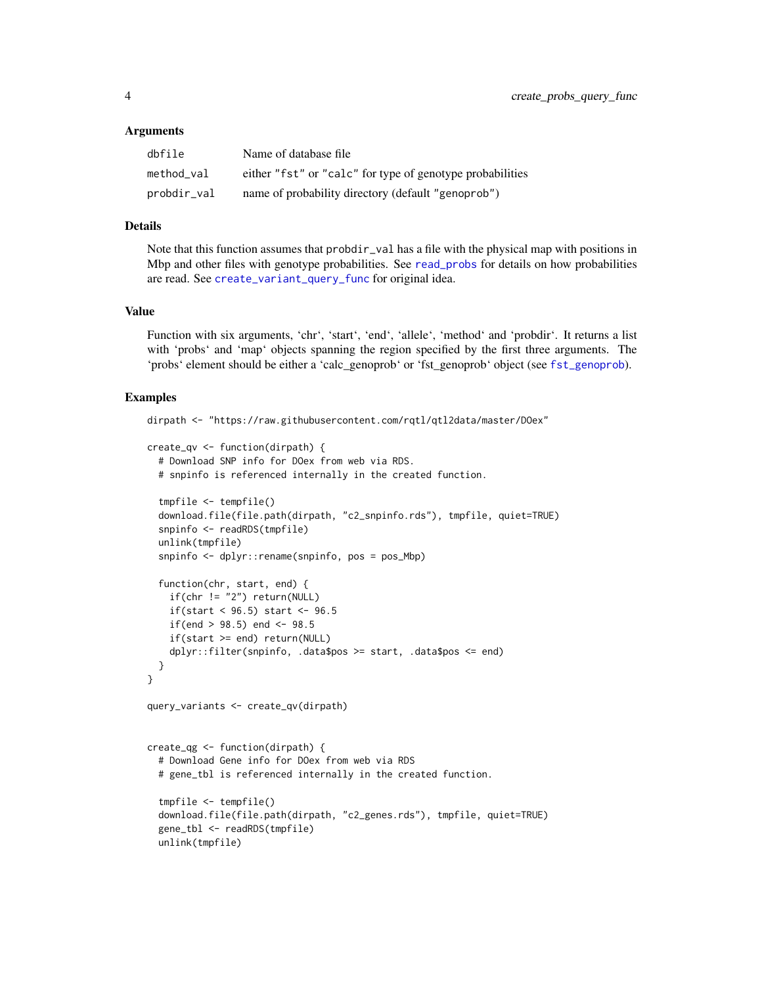#### <span id="page-3-0"></span>Arguments

| dbfile      | Name of database file                                     |
|-------------|-----------------------------------------------------------|
| method val  | either "fst" or "calc" for type of genotype probabilities |
| probdir_val | name of probability directory (default "genoprob")        |

#### Details

Note that this function assumes that probdir\_val has a file with the physical map with positions in Mbp and other files with genotype probabilities. See [read\\_probs](#page-16-1) for details on how probabilities are read. See [create\\_variant\\_query\\_func](#page-0-0) for original idea.

#### Value

Function with six arguments, 'chr', 'start', 'end', 'allele', 'method' and 'probdir'. It returns a list with 'probs' and 'map' objects spanning the region specified by the first three arguments. The 'probs' element should be either a 'calc\_genoprob' or 'fst\_genoprob' object (see [fst\\_genoprob](#page-0-0)).

#### Examples

```
dirpath <- "https://raw.githubusercontent.com/rqtl/qtl2data/master/DOex"
create_qv <- function(dirpath) {
  # Download SNP info for DOex from web via RDS.
  # snpinfo is referenced internally in the created function.
  tmpfile <- tempfile()
  download.file(file.path(dirpath, "c2_snpinfo.rds"), tmpfile, quiet=TRUE)
  snpinfo <- readRDS(tmpfile)
  unlink(tmpfile)
  snpinfo <- dplyr::rename(snpinfo, pos = pos_Mbp)
  function(chr, start, end) {
    if(char != "2") return(NULL)if(start < 96.5) start <- 96.5if(end > 98.5) end <- 98.5if(start >= end) return(NULL)
    dplyr::filter(snpinfo, .data$pos >= start, .data$pos <= end)
  }
}
query_variants <- create_qv(dirpath)
create_qg <- function(dirpath) {
  # Download Gene info for DOex from web via RDS
  # gene_tbl is referenced internally in the created function.
  tmpfile <- tempfile()
  download.file(file.path(dirpath, "c2_genes.rds"), tmpfile, quiet=TRUE)
  gene_tbl <- readRDS(tmpfile)
  unlink(tmpfile)
```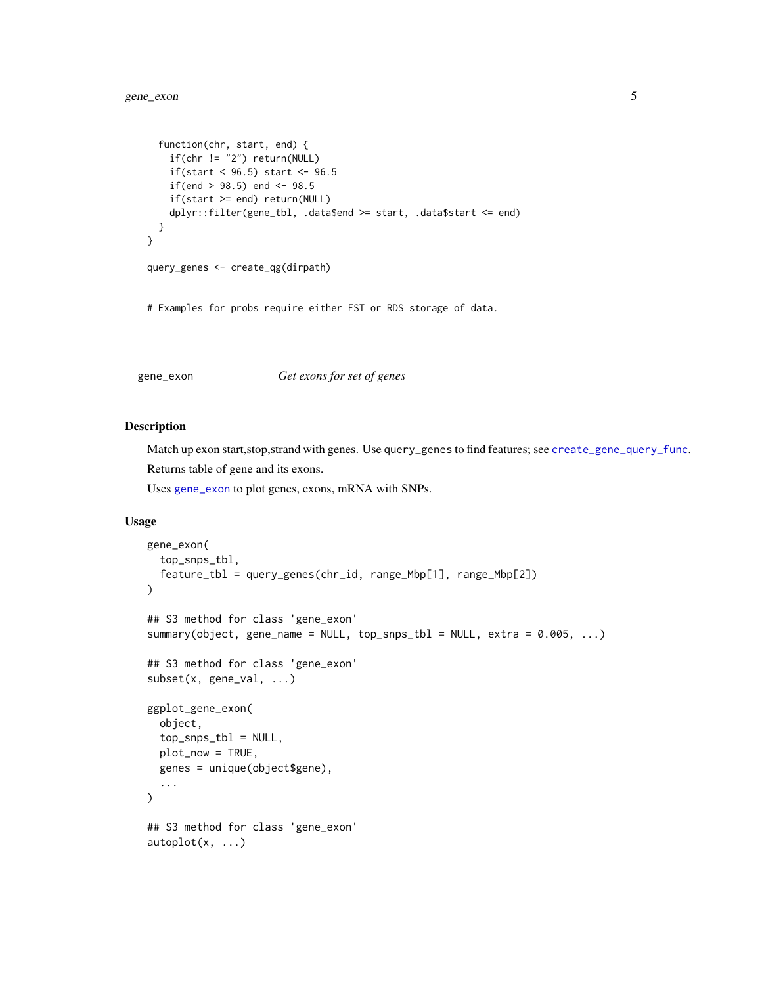```
function(chr, start, end) {
   if(chr != "2") return(NULL)
   if(start < 96.5) start <- 96.5if(end > 98.5) end <- 98.5if(start >= end) return(NULL)
   dplyr::filter(gene_tbl, .data$end >= start, .data$start <= end)
 }
}
query_genes <- create_qg(dirpath)
```
# Examples for probs require either FST or RDS storage of data.

# <span id="page-4-1"></span>gene\_exon *Get exons for set of genes*

#### Description

Match up exon start,stop,strand with genes. Use query\_genes to find features; see [create\\_gene\\_query\\_func](#page-0-0). Returns table of gene and its exons.

Uses [gene\\_exon](#page-4-1) to plot genes, exons, mRNA with SNPs.

```
gene_exon(
  top_snps_tbl,
  feature_tbl = query_genes(chr_id, range_Mbp[1], range_Mbp[2])
\mathcal{L}## S3 method for class 'gene_exon'
summary(object, gene_name = NULL, top_snps_tbl = NULL, extra = 0.005, ...)
## S3 method for class 'gene_exon'
subset(x, gene_val, ...)
ggplot_gene_exon(
 object,
  top\_snps\_tb1 = NULL,plot_now = TRUE,
  genes = unique(object$gene),
  ...
\lambda## S3 method for class 'gene_exon'
autoplot(x, \ldots)
```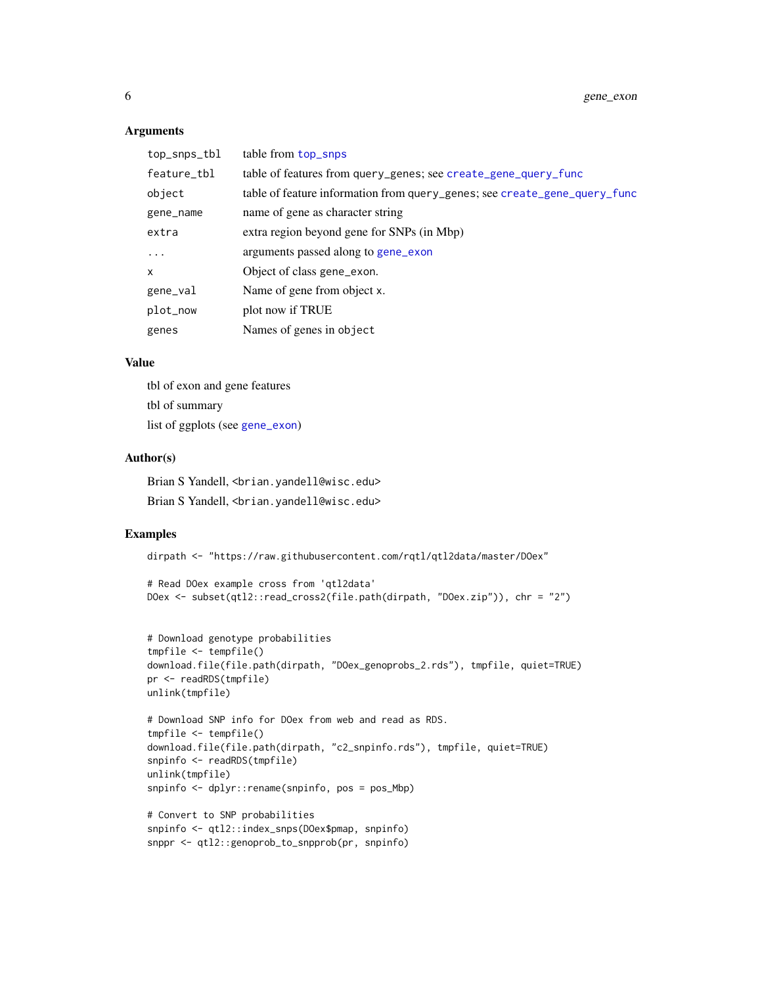#### <span id="page-5-0"></span>Arguments

| top_snps_tbl | table from top_snps                                                       |
|--------------|---------------------------------------------------------------------------|
| feature_tbl  | table of features from query_genes; see create_gene_query_func            |
| object       | table of feature information from query_genes; see create_gene_query_func |
| gene_name    | name of gene as character string                                          |
| extra        | extra region beyond gene for SNPs (in Mbp)                                |
| $\ddots$     | arguments passed along to gene_exon                                       |
| x            | Object of class gene_exon.                                                |
| gene_val     | Name of gene from object x.                                               |
| plot_now     | plot now if TRUE                                                          |
| genes        | Names of genes in object                                                  |

# Value

tbl of exon and gene features tbl of summary list of ggplots (see [gene\\_exon](#page-4-1))

# Author(s)

Brian S Yandell, <br />brian.yandell@wisc.edu> Brian S Yandell, <br />brian.yandell@wisc.edu>

#### Examples

dirpath <- "https://raw.githubusercontent.com/rqtl/qtl2data/master/DOex"

```
# Read DOex example cross from 'qtl2data'
DOex <- subset(qtl2::read_cross2(file.path(dirpath, "DOex.zip")), chr = "2")
```

```
# Download genotype probabilities
tmpfile <- tempfile()
download.file(file.path(dirpath, "DOex_genoprobs_2.rds"), tmpfile, quiet=TRUE)
pr <- readRDS(tmpfile)
unlink(tmpfile)
# Download SNP info for DOex from web and read as RDS.
```

```
tmpfile <- tempfile()
download.file(file.path(dirpath, "c2_snpinfo.rds"), tmpfile, quiet=TRUE)
snpinfo <- readRDS(tmpfile)
unlink(tmpfile)
snpinfo <- dplyr::rename(snpinfo, pos = pos_Mbp)
```

```
# Convert to SNP probabilities
snpinfo <- qtl2::index_snps(DOex$pmap, snpinfo)
snppr <- qtl2::genoprob_to_snpprob(pr, snpinfo)
```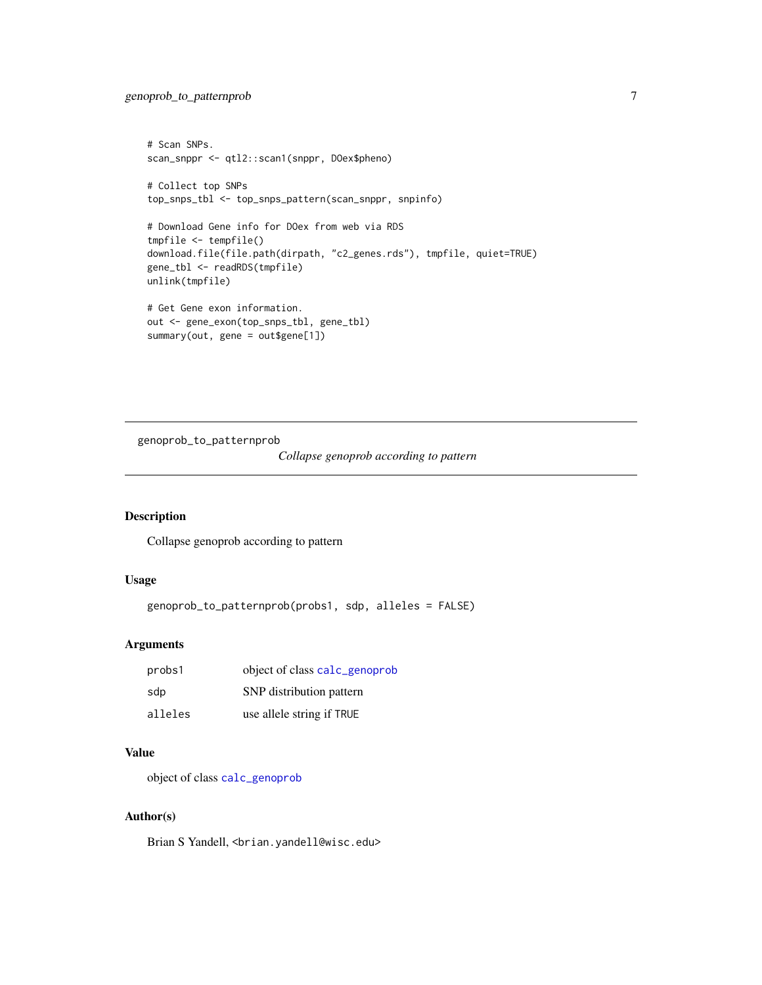```
# Scan SNPs.
scan_snppr <- qtl2::scan1(snppr, DOex$pheno)
# Collect top SNPs
top_snps_tbl <- top_snps_pattern(scan_snppr, snpinfo)
# Download Gene info for DOex from web via RDS
tmpfile <- tempfile()
download.file(file.path(dirpath, "c2_genes.rds"), tmpfile, quiet=TRUE)
gene_tbl <- readRDS(tmpfile)
unlink(tmpfile)
# Get Gene exon information.
out <- gene_exon(top_snps_tbl, gene_tbl)
summary(out, gene = out$gene[1])
```
genoprob\_to\_patternprob

*Collapse genoprob according to pattern*

#### Description

Collapse genoprob according to pattern

#### Usage

```
genoprob_to_patternprob(probs1, sdp, alleles = FALSE)
```
# Arguments

| probs1  | object of class calc_genoprob |
|---------|-------------------------------|
| sdp     | SNP distribution pattern      |
| alleles | use allele string if TRUE     |

# Value

object of class [calc\\_genoprob](#page-0-0)

#### Author(s)

Brian S Yandell, <br />brian.yandell@wisc.edu>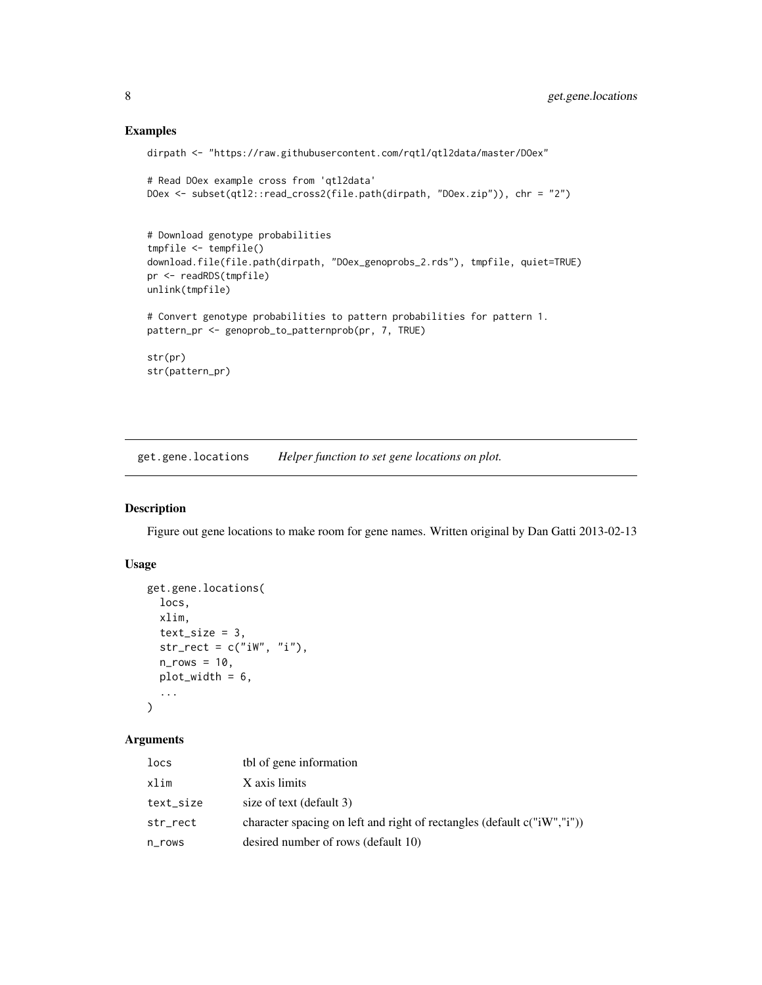#### Examples

```
dirpath <- "https://raw.githubusercontent.com/rqtl/qtl2data/master/DOex"
# Read DOex example cross from 'qtl2data'
DOex <- subset(qtl2::read_cross2(file.path(dirpath, "DOex.zip")), chr = "2")
# Download genotype probabilities
tmpfile <- tempfile()
download.file(file.path(dirpath, "DOex_genoprobs_2.rds"), tmpfile, quiet=TRUE)
pr <- readRDS(tmpfile)
unlink(tmpfile)
# Convert genotype probabilities to pattern probabilities for pattern 1.
pattern_pr <- genoprob_to_patternprob(pr, 7, TRUE)
str(pr)
str(pattern_pr)
```
get.gene.locations *Helper function to set gene locations on plot.*

# Description

Figure out gene locations to make room for gene names. Written original by Dan Gatti 2013-02-13

#### Usage

```
get.gene.locations(
  locs,
  xlim,
  text_size = 3,str\_rect = c("iw", "i"),
  n_{r}rows = 10,
  plot_width = 6,
  ...
\lambda
```
# Arguments

| locs      | tbl of gene information                                                 |
|-----------|-------------------------------------------------------------------------|
| xlim      | X axis limits                                                           |
| text_size | size of text (default 3)                                                |
| str_rect  | character spacing on left and right of rectangles (default c("iW","i")) |
| n_rows    | desired number of rows (default 10)                                     |

<span id="page-7-0"></span>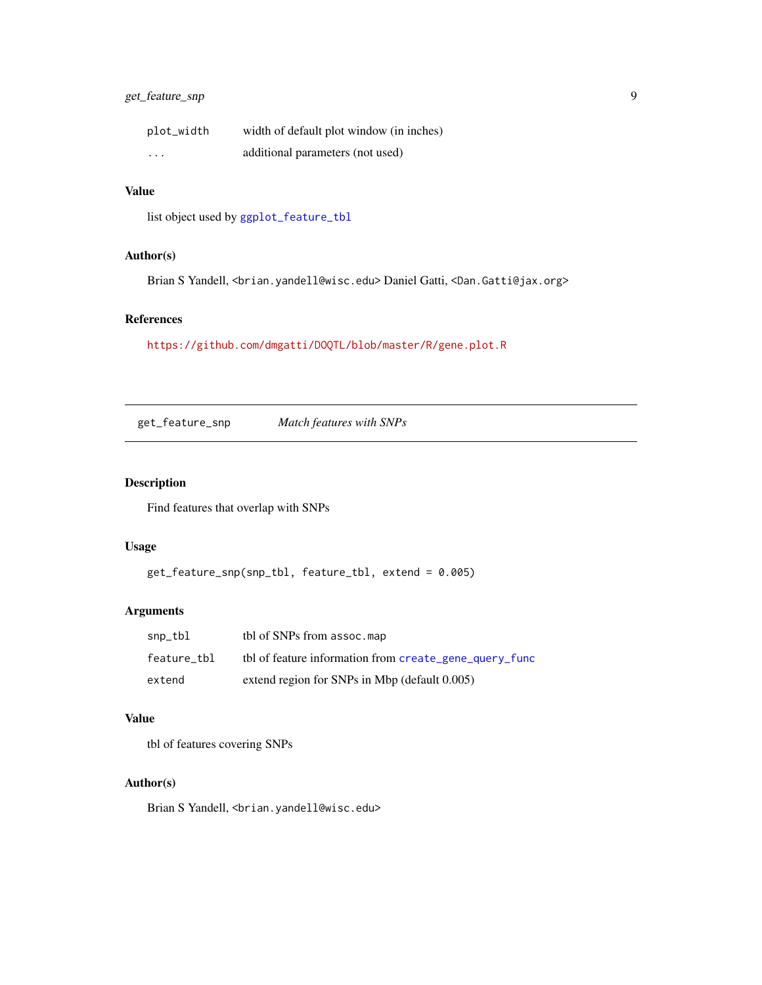# <span id="page-8-0"></span>get\_feature\_snp 9

| plot_width | width of default plot window (in inches) |
|------------|------------------------------------------|
| $\cdots$   | additional parameters (not used)         |

# Value

list object used by [ggplot\\_feature\\_tbl](#page-20-1)

#### Author(s)

Brian S Yandell, <brian.yandell@wisc.edu> Daniel Gatti, <Dan.Gatti@jax.org>

# References

<https://github.com/dmgatti/DOQTL/blob/master/R/gene.plot.R>

<span id="page-8-1"></span>get\_feature\_snp *Match features with SNPs*

# Description

Find features that overlap with SNPs

# Usage

get\_feature\_snp(snp\_tbl, feature\_tbl, extend = 0.005)

# Arguments

| snp_tbl     | tbl of SNPs from assoc.map                             |
|-------------|--------------------------------------------------------|
| feature tbl | tbl of feature information from create_gene_query_func |
| extend      | extend region for SNPs in Mbp (default 0.005)          |

# Value

tbl of features covering SNPs

## Author(s)

Brian S Yandell, <br ian.yandell@wisc.edu>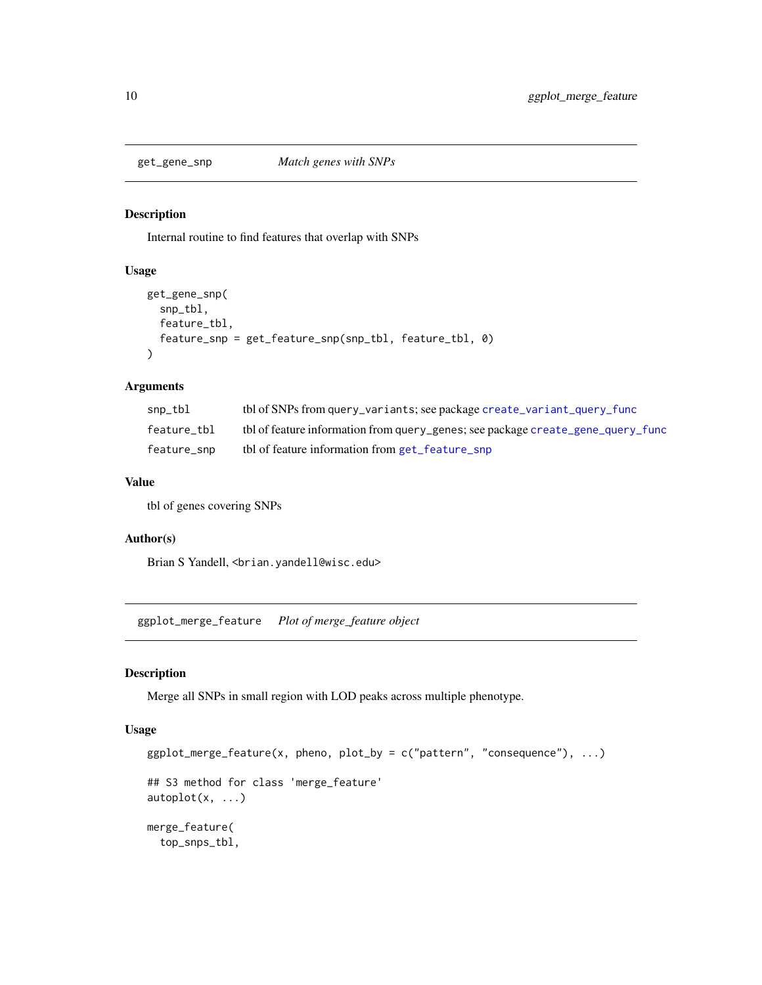<span id="page-9-0"></span>

# Description

Internal routine to find features that overlap with SNPs

# Usage

```
get_gene_snp(
  snp_tbl,
 feature_tbl,
  feature_snp = get_feature_snp(snp_tbl, feature_tbl, 0)
)
```
#### Arguments

| snp_tbl     | tbl of SNPs from query_variants; see package create_variant_query_func          |
|-------------|---------------------------------------------------------------------------------|
| feature tbl | tbl of feature information from query_genes; see package create_gene_query_func |
| feature snp | the of feature information from get_feature_snp                                 |

#### Value

tbl of genes covering SNPs

#### Author(s)

Brian S Yandell, <br />brian.yandell@wisc.edu>

ggplot\_merge\_feature *Plot of merge\_feature object*

#### Description

Merge all SNPs in small region with LOD peaks across multiple phenotype.

```
ggplot_merge_feature(x, pheno, plot_by = c("pattern", "consequence"), ...)## S3 method for class 'merge_feature'
autoplot(x, ...)
merge_feature(
  top_snps_tbl,
```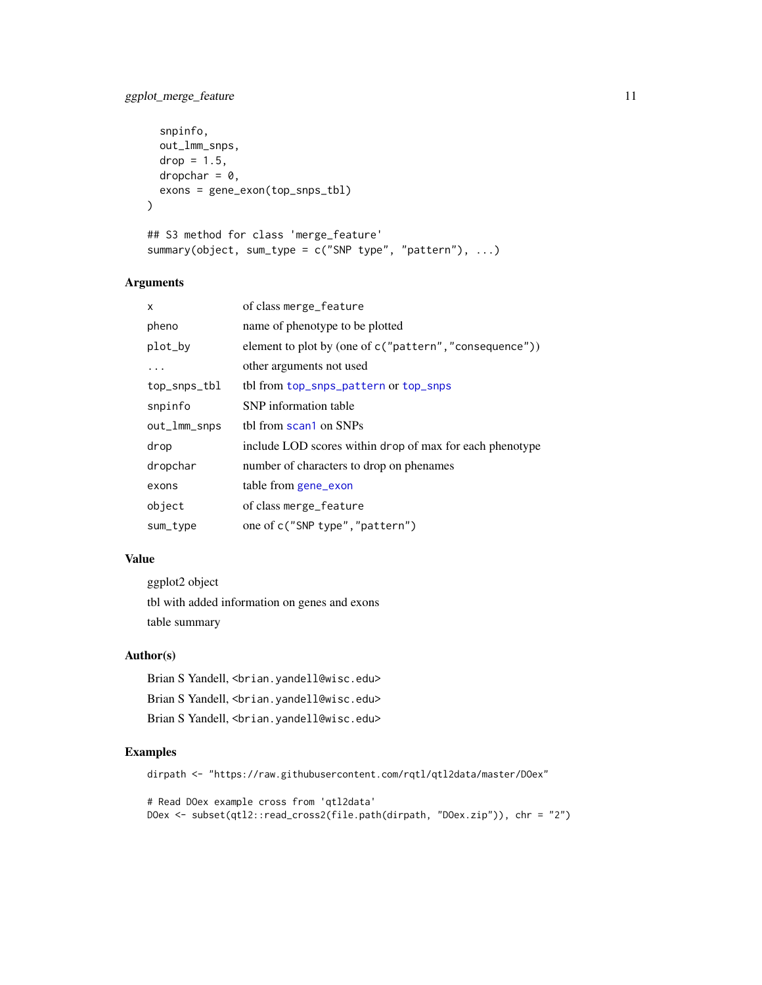# <span id="page-10-0"></span>ggplot\_merge\_feature 11

```
snpinfo,
 out_lmm_snps,
 drop = 1.5,
 dropchar = 0,
 exons = gene_exon(top_snps_tbl)
\mathcal{L}## S3 method for class 'merge_feature'
summary(object, sum_type = c("SNP type", "pattern"), ...)
```
# Arguments

| of class merge_feature                                   |
|----------------------------------------------------------|
| name of phenotype to be plotted                          |
| element to plot by (one of c("pattern", "consequence"))  |
| other arguments not used                                 |
| tbl from top_snps_pattern or top_snps                    |
| SNP information table                                    |
| thl from scan1 on SNPs                                   |
| include LOD scores within drop of max for each phenotype |
| number of characters to drop on phenames                 |
| table from gene_exon                                     |
| of class merge_feature                                   |
| one of c("SNP type", "pattern")                          |
|                                                          |

#### Value

ggplot2 object tbl with added information on genes and exons table summary

# Author(s)

Brian S Yandell, <br ian.yandell@wisc.edu> Brian S Yandell, <br />brian.yandell@wisc.edu> Brian S Yandell, <br ian.yandell@wisc.edu>

### Examples

```
dirpath <- "https://raw.githubusercontent.com/rqtl/qtl2data/master/DOex"
```

```
# Read DOex example cross from 'qtl2data'
DOex <- subset(qtl2::read_cross2(file.path(dirpath, "DOex.zip")), chr = "2")
```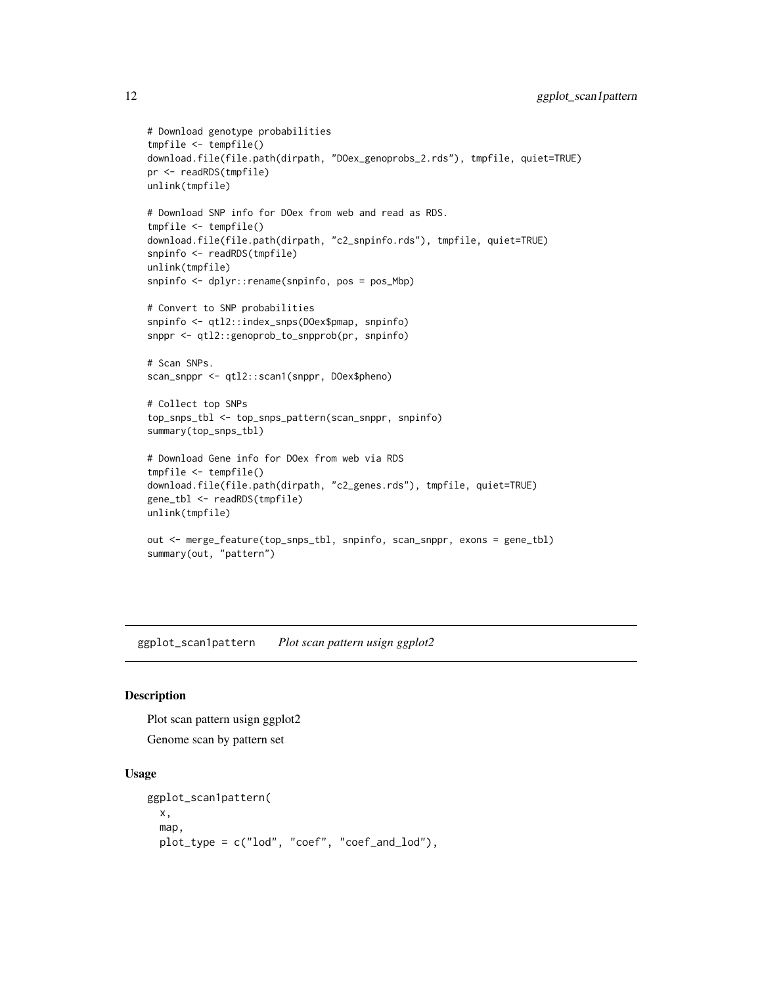```
# Download genotype probabilities
tmpfile <- tempfile()
download.file(file.path(dirpath, "DOex_genoprobs_2.rds"), tmpfile, quiet=TRUE)
pr <- readRDS(tmpfile)
unlink(tmpfile)
# Download SNP info for DOex from web and read as RDS.
tmpfile <- tempfile()
download.file(file.path(dirpath, "c2_snpinfo.rds"), tmpfile, quiet=TRUE)
snpinfo <- readRDS(tmpfile)
unlink(tmpfile)
snpinfo <- dplyr::rename(snpinfo, pos = pos_Mbp)
# Convert to SNP probabilities
snpinfo <- qtl2::index_snps(DOex$pmap, snpinfo)
snppr <- qtl2::genoprob_to_snpprob(pr, snpinfo)
# Scan SNPs.
scan_snppr <- qtl2::scan1(snppr, DOex$pheno)
# Collect top SNPs
top_snps_tbl <- top_snps_pattern(scan_snppr, snpinfo)
summary(top_snps_tbl)
# Download Gene info for DOex from web via RDS
tmpfile <- tempfile()
download.file(file.path(dirpath, "c2_genes.rds"), tmpfile, quiet=TRUE)
gene_tbl <- readRDS(tmpfile)
unlink(tmpfile)
out <- merge_feature(top_snps_tbl, snpinfo, scan_snppr, exons = gene_tbl)
summary(out, "pattern")
```
ggplot\_scan1pattern *Plot scan pattern usign ggplot2*

#### <span id="page-11-1"></span>Description

Plot scan pattern usign ggplot2 Genome scan by pattern set

```
ggplot_scan1pattern(
 x,
  map,
  plot_type = c("lod", "coef", "coef_and_lod"),
```
<span id="page-11-0"></span>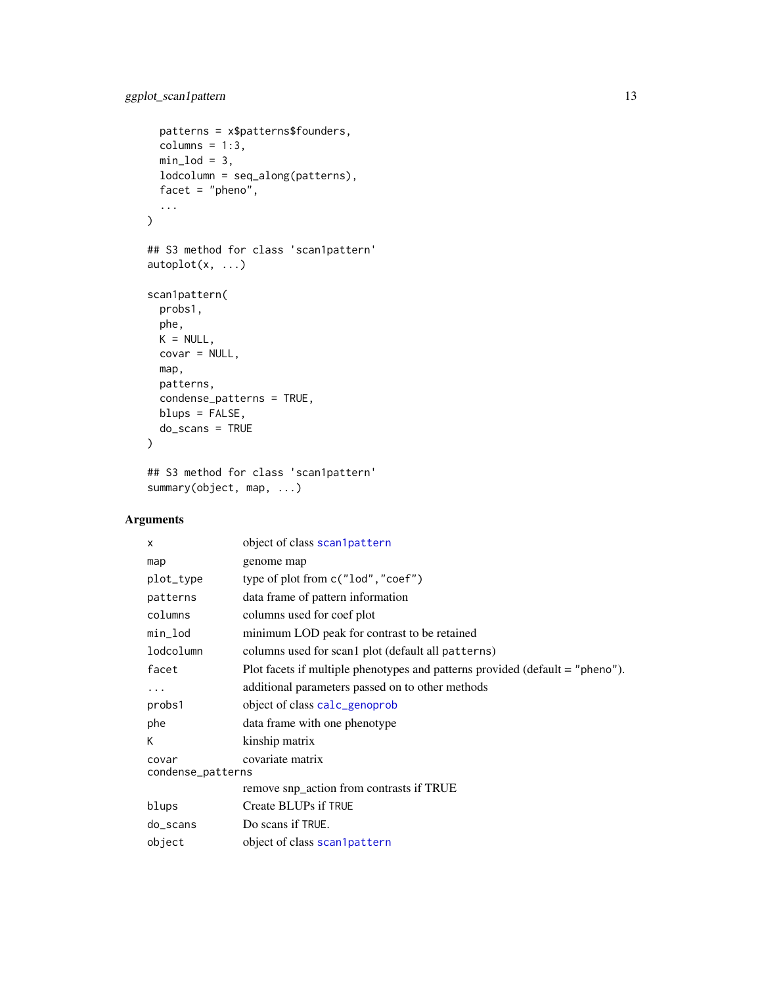```
patterns = x$patterns$founders,
 columns = 1:3,min\_lod = 3,
 lodcolumn = seq_along(patterns),
 facet = "pheno",
  ...
\mathcal{L}## S3 method for class 'scan1pattern'
autoplot(x, ...)
scan1pattern(
 probs1,
 phe,
 K = NULL,covar = NULL,
 map,
 patterns,
 condense_patterns = TRUE,
 blups = FALSE,
 do_scans = TRUE
)
```
## S3 method for class 'scan1pattern' summary(object, map, ...)

# Arguments

| X                                              | object of class scan1pattern                                                    |  |
|------------------------------------------------|---------------------------------------------------------------------------------|--|
| map                                            | genome map                                                                      |  |
| plot_type                                      | type of plot from $c("lod", "coeff")$                                           |  |
| patterns                                       | data frame of pattern information                                               |  |
| columns                                        | columns used for coef plot                                                      |  |
| min_lod                                        | minimum LOD peak for contrast to be retained                                    |  |
| lodcolumn                                      | columns used for scan1 plot (default all patterns)                              |  |
| facet                                          | Plot facets if multiple phenotypes and patterns provided (default $=$ "pheno"). |  |
| .                                              | additional parameters passed on to other methods                                |  |
| probs1                                         | object of class calc_genoprob                                                   |  |
| phe                                            | data frame with one phenotype                                                   |  |
| К                                              | kinship matrix                                                                  |  |
| covariate matrix<br>covar<br>condense_patterns |                                                                                 |  |
|                                                | remove snp_action from contrasts if TRUE                                        |  |
| blups                                          | Create BLUPs if TRUE                                                            |  |
| $do$ _scans                                    | Do scans if TRUE.                                                               |  |
| object                                         | object of class scan1pattern                                                    |  |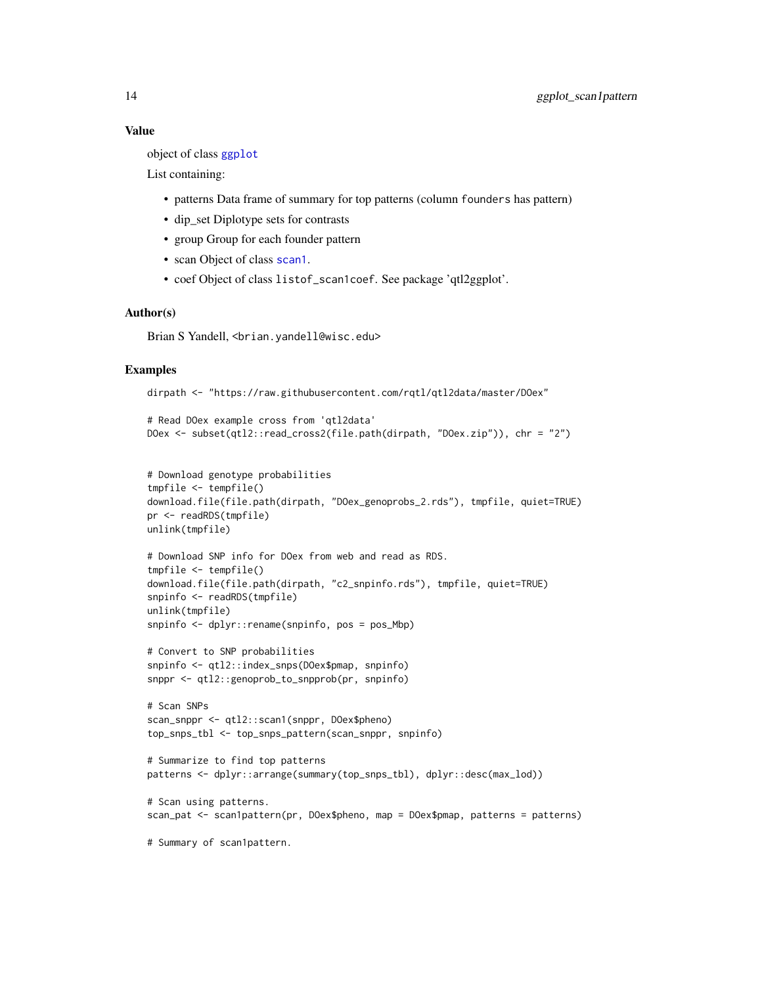#### <span id="page-13-0"></span>Value

object of class [ggplot](#page-0-0)

List containing:

- patterns Data frame of summary for top patterns (column founders has pattern)
- dip\_set Diplotype sets for contrasts
- group Group for each founder pattern
- scan Object of class [scan1](#page-0-0).
- coef Object of class listof\_scan1coef. See package 'qtl2ggplot'.

#### Author(s)

Brian S Yandell, <br ian.yandell@wisc.edu>

#### Examples

```
dirpath <- "https://raw.githubusercontent.com/rqtl/qtl2data/master/DOex"
```

```
# Read DOex example cross from 'qtl2data'
DOex <- subset(qtl2::read_cross2(file.path(dirpath, "DOex.zip")), chr = "2")
```

```
# Download genotype probabilities
tmpfile <- tempfile()
download.file(file.path(dirpath, "DOex_genoprobs_2.rds"), tmpfile, quiet=TRUE)
pr <- readRDS(tmpfile)
unlink(tmpfile)
```

```
# Download SNP info for DOex from web and read as RDS.
tmpfile <- tempfile()
download.file(file.path(dirpath, "c2_snpinfo.rds"), tmpfile, quiet=TRUE)
snpinfo <- readRDS(tmpfile)
unlink(tmpfile)
snpinfo <- dplyr::rename(snpinfo, pos = pos_Mbp)
```

```
# Convert to SNP probabilities
snpinfo <- qtl2::index_snps(DOex$pmap, snpinfo)
snppr <- qtl2::genoprob_to_snpprob(pr, snpinfo)
```

```
# Scan SNPs
scan_snppr <- qtl2::scan1(snppr, DOex$pheno)
top_snps_tbl <- top_snps_pattern(scan_snppr, snpinfo)
```

```
# Summarize to find top patterns
patterns <- dplyr::arrange(summary(top_snps_tbl), dplyr::desc(max_lod))
```

```
# Scan using patterns.
scan_pat <- scan1pattern(pr, DOex$pheno, map = DOex$pmap, patterns = patterns)
```

```
# Summary of scan1pattern.
```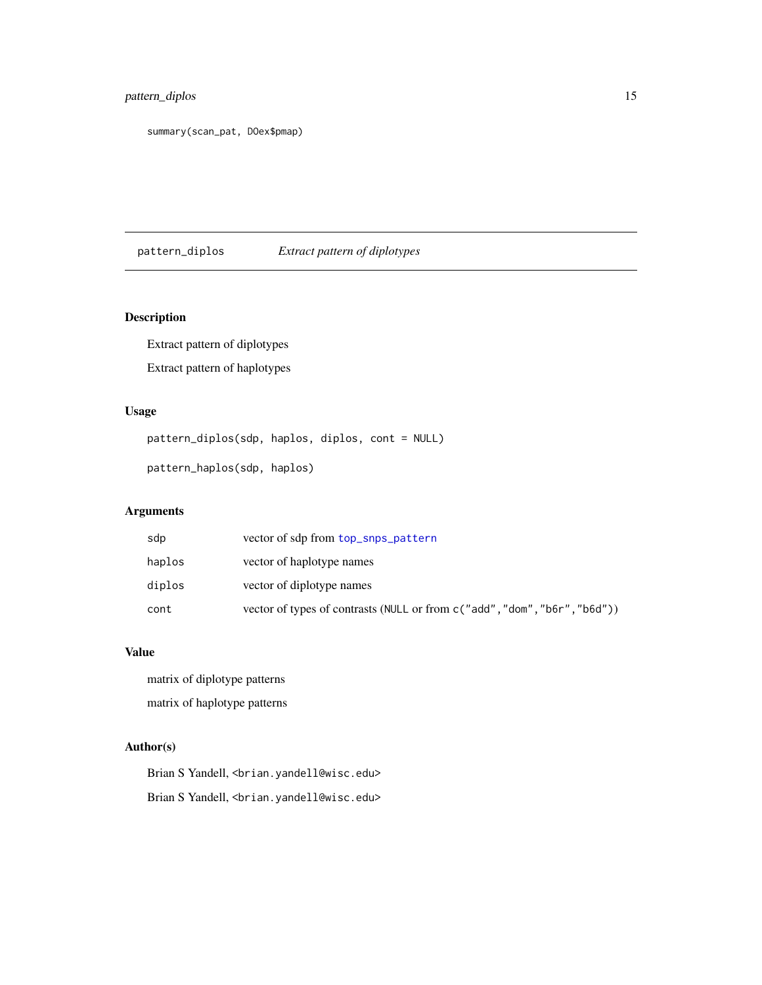# <span id="page-14-0"></span>pattern\_diplos 15

summary(scan\_pat, DOex\$pmap)

pattern\_diplos *Extract pattern of diplotypes*

# Description

Extract pattern of diplotypes Extract pattern of haplotypes

# Usage

pattern\_diplos(sdp, haplos, diplos, cont = NULL) pattern\_haplos(sdp, haplos)

# Arguments

| sdp    | vector of sdp from top_snps_pattern                                        |
|--------|----------------------------------------------------------------------------|
| haplos | vector of haplotype names                                                  |
| diplos | vector of diplotype names                                                  |
| cont   | vector of types of contrasts (NULL or from c ("add", "dom", "b6r", "b6d")) |

# Value

matrix of diplotype patterns matrix of haplotype patterns

# Author(s)

Brian S Yandell, <br />brian.yandell@wisc.edu> Brian S Yandell, <br ian.yandell@wisc.edu>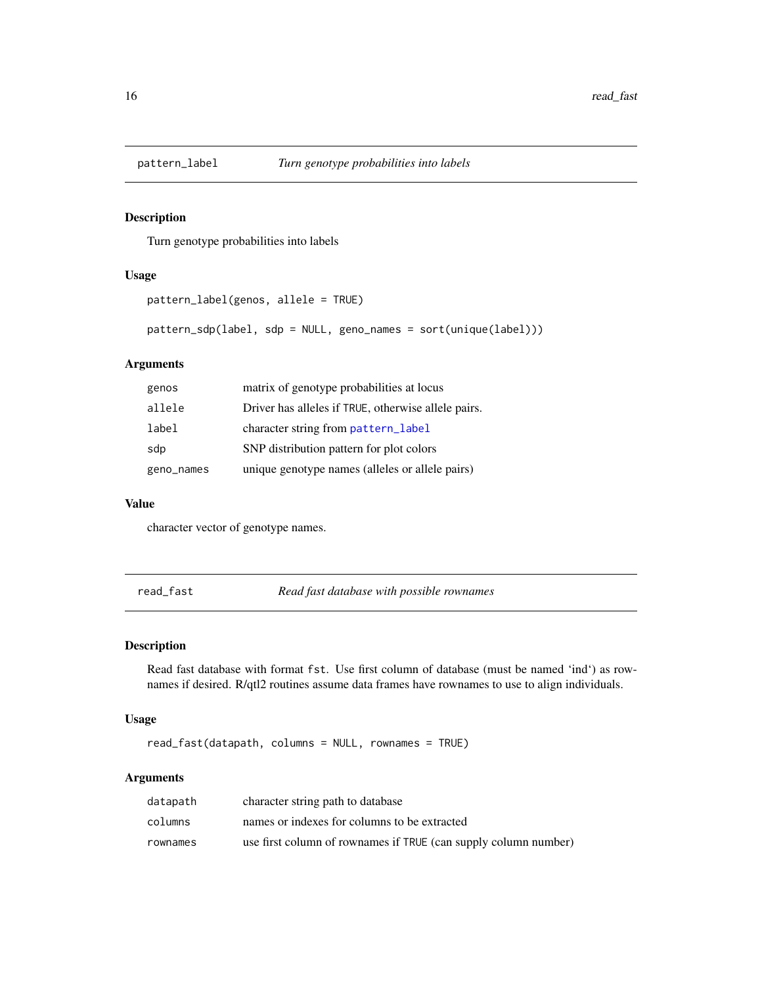<span id="page-15-1"></span><span id="page-15-0"></span>

# Description

Turn genotype probabilities into labels

## Usage

```
pattern_label(genos, allele = TRUE)
```
pattern\_sdp(label, sdp = NULL, geno\_names = sort(unique(label)))

# Arguments

| genos      | matrix of genotype probabilities at locus           |
|------------|-----------------------------------------------------|
| allele     | Driver has alleles if TRUE, otherwise allele pairs. |
| label      | character string from pattern_label                 |
| sdp        | SNP distribution pattern for plot colors            |
| geno_names | unique genotype names (alleles or allele pairs)     |

#### Value

character vector of genotype names.

read\_fast *Read fast database with possible rownames*

#### Description

Read fast database with format fst. Use first column of database (must be named 'ind') as rownames if desired. R/qtl2 routines assume data frames have rownames to use to align individuals.

#### Usage

read\_fast(datapath, columns = NULL, rownames = TRUE)

#### Arguments

| datapath | character string path to database                               |
|----------|-----------------------------------------------------------------|
| columns  | names or indexes for columns to be extracted                    |
| rownames | use first column of rownames if TRUE (can supply column number) |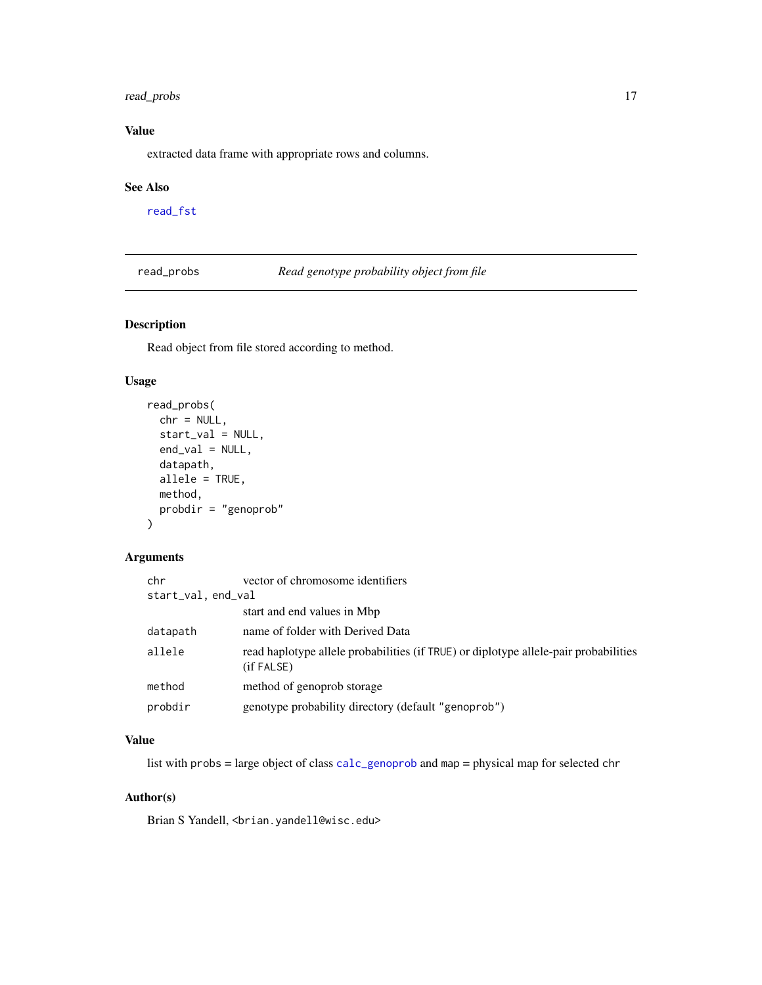# <span id="page-16-0"></span>read\_probs 17

# Value

extracted data frame with appropriate rows and columns.

#### See Also

[read\\_fst](#page-0-0)

<span id="page-16-1"></span>read\_probs *Read genotype probability object from file*

# Description

Read object from file stored according to method.

#### Usage

```
read_probs(
 chr = NULL,start_val = NULL,
 end_val = NULL,datapath,
 allele = TRUE,
 method,
 probdir = "genoprob"
)
```
#### Arguments

| chr                | vector of chromosome identifiers                                                                   |
|--------------------|----------------------------------------------------------------------------------------------------|
| start_val, end_val |                                                                                                    |
|                    | start and end values in Mbp                                                                        |
| datapath           | name of folder with Derived Data                                                                   |
| allele             | read haplotype allele probabilities (if TRUE) or diplotype allele-pair probabilities<br>(if FALSE) |
| method             | method of genoprob storage                                                                         |
| probdir            | genotype probability directory (default "genoprob")                                                |

# Value

list with probs = large object of class [calc\\_genoprob](#page-0-0) and map = physical map for selected chr

# Author(s)

Brian S Yandell, <br />brian.yandell@wisc.edu>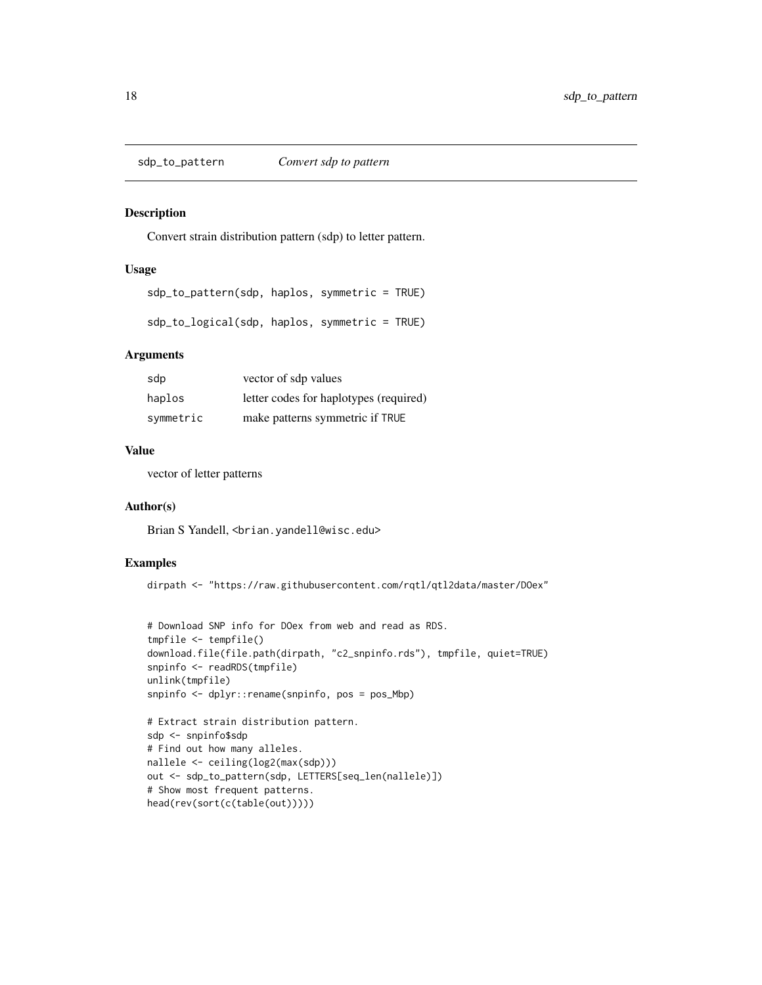<span id="page-17-0"></span>sdp\_to\_pattern *Convert sdp to pattern*

#### Description

Convert strain distribution pattern (sdp) to letter pattern.

#### Usage

sdp\_to\_pattern(sdp, haplos, symmetric = TRUE)

sdp\_to\_logical(sdp, haplos, symmetric = TRUE)

# Arguments

| sdp       | vector of sdp values                   |
|-----------|----------------------------------------|
| haplos    | letter codes for haplotypes (required) |
| symmetric | make patterns symmetric if TRUE        |

# Value

vector of letter patterns

# Author(s)

Brian S Yandell, <br />brian.yandell@wisc.edu>

# Examples

```
dirpath <- "https://raw.githubusercontent.com/rqtl/qtl2data/master/DOex"
```

```
# Download SNP info for DOex from web and read as RDS.
tmpfile <- tempfile()
download.file(file.path(dirpath, "c2_snpinfo.rds"), tmpfile, quiet=TRUE)
snpinfo <- readRDS(tmpfile)
unlink(tmpfile)
snpinfo <- dplyr::rename(snpinfo, pos = pos_Mbp)
# Extract strain distribution pattern.
sdp <- snpinfo$sdp
# Find out how many alleles.
nallele <- ceiling(log2(max(sdp)))
out <- sdp_to_pattern(sdp, LETTERS[seq_len(nallele)])
# Show most frequent patterns.
head(rev(sort(c(table(out)))))
```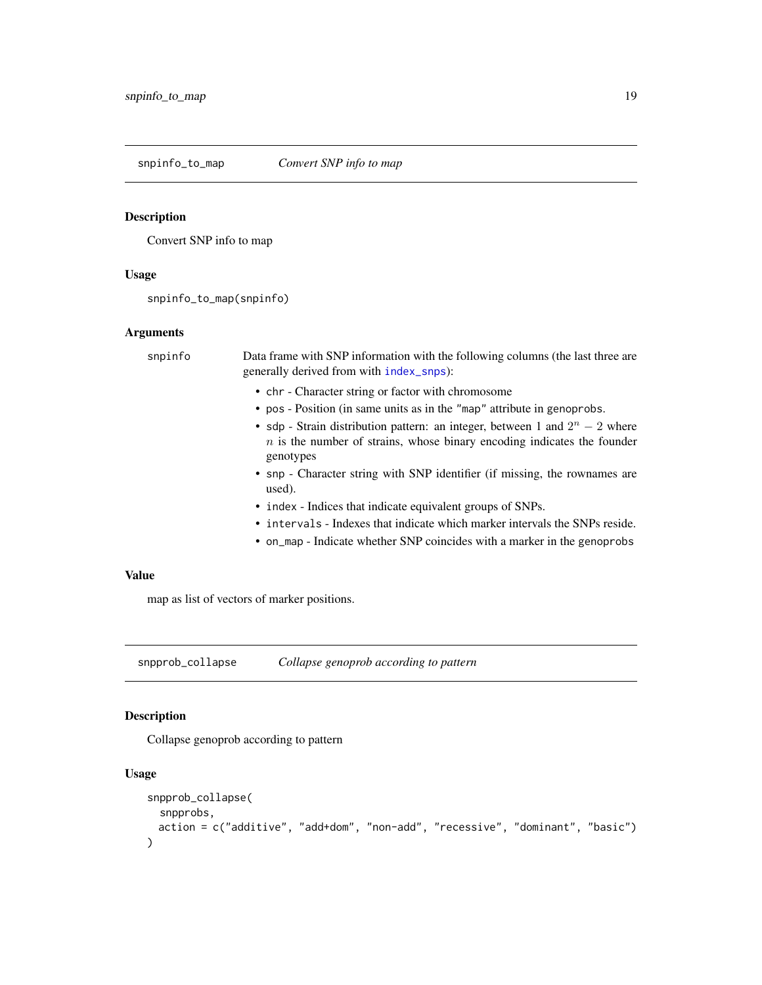<span id="page-18-0"></span>snpinfo\_to\_map *Convert SNP info to map*

#### Description

Convert SNP info to map

#### Usage

snpinfo\_to\_map(snpinfo)

#### Arguments

snpinfo Data frame with SNP information with the following columns (the last three are generally derived from with [index\\_snps](#page-0-0)): • chr - Character string or factor with chromosome • pos - Position (in same units as in the "map" attribute in genoprobs. • sdp - Strain distribution pattern: an integer, between 1 and  $2^n - 2$  where  $n$  is the number of strains, whose binary encoding indicates the founder genotypes • snp - Character string with SNP identifier (if missing, the rownames are used). • index - Indices that indicate equivalent groups of SNPs. • intervals - Indexes that indicate which marker intervals the SNPs reside. • on\_map - Indicate whether SNP coincides with a marker in the genoprobs

# Value

map as list of vectors of marker positions.

snpprob\_collapse *Collapse genoprob according to pattern*

#### Description

Collapse genoprob according to pattern

```
snpprob_collapse(
  snpprobs,
 action = c("additive", "add+dom", "non-add", "recessive", "dominant", "basic")
)
```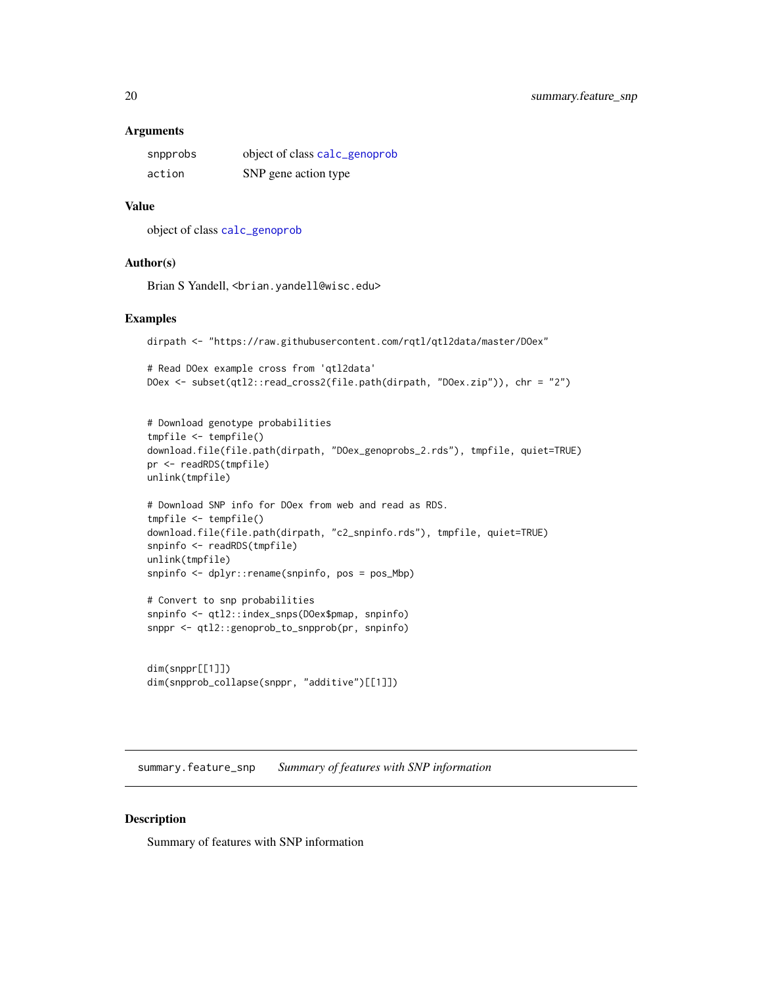#### <span id="page-19-0"></span>Arguments

| snpprobs | object of class calc_genoprob |
|----------|-------------------------------|
| action   | SNP gene action type          |

#### Value

object of class [calc\\_genoprob](#page-0-0)

#### Author(s)

Brian S Yandell, <br ian.yandell@wisc.edu>

#### Examples

```
dirpath <- "https://raw.githubusercontent.com/rqtl/qtl2data/master/DOex"
```

```
# Read DOex example cross from 'qtl2data'
DOex <- subset(qtl2::read_cross2(file.path(dirpath, "DOex.zip")), chr = "2")
```

```
# Download genotype probabilities
tmpfile <- tempfile()
download.file(file.path(dirpath, "DOex_genoprobs_2.rds"), tmpfile, quiet=TRUE)
pr <- readRDS(tmpfile)
unlink(tmpfile)
```

```
# Download SNP info for DOex from web and read as RDS.
tmpfile <- tempfile()
download.file(file.path(dirpath, "c2_snpinfo.rds"), tmpfile, quiet=TRUE)
snpinfo <- readRDS(tmpfile)
unlink(tmpfile)
snpinfo <- dplyr::rename(snpinfo, pos = pos_Mbp)
```

```
# Convert to snp probabilities
snpinfo <- qtl2::index_snps(DOex$pmap, snpinfo)
snppr <- qtl2::genoprob_to_snpprob(pr, snpinfo)
```

```
dim(snppr[[1]])
dim(snpprob_collapse(snppr, "additive")[[1]])
```
summary.feature\_snp *Summary of features with SNP information*

#### Description

Summary of features with SNP information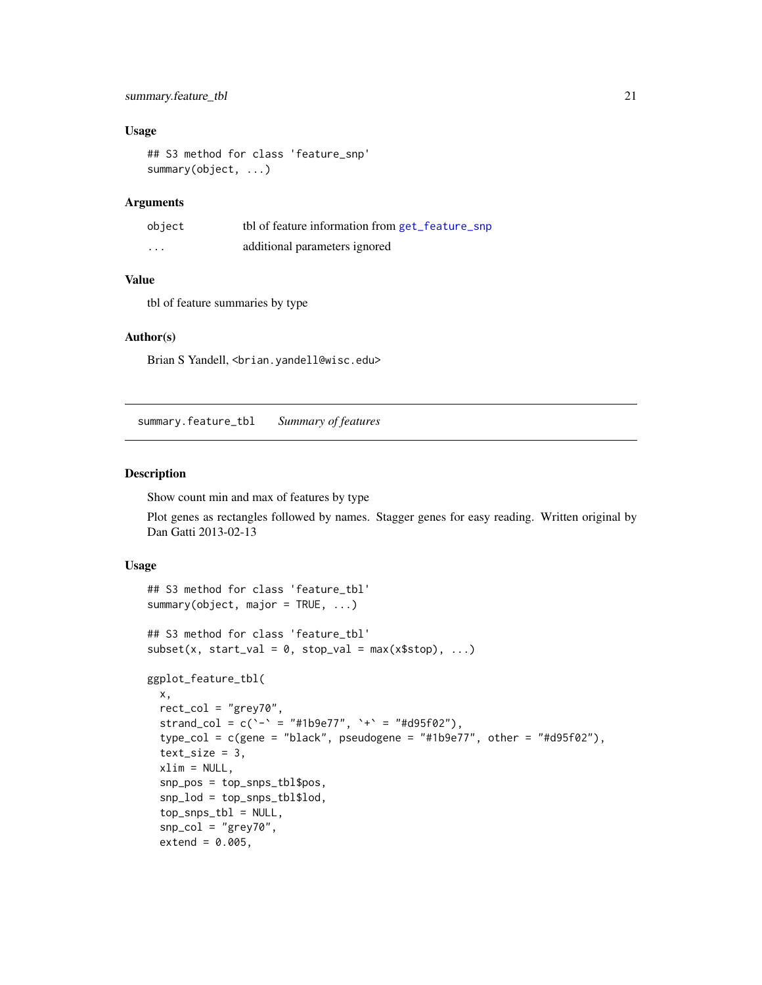# <span id="page-20-0"></span>summary.feature\_tbl 21

#### Usage

```
## S3 method for class 'feature_snp'
summary(object, ...)
```
#### Arguments

| object  | tbl of feature information from get_feature_snp |
|---------|-------------------------------------------------|
| $\cdot$ | additional parameters ignored                   |

# Value

tbl of feature summaries by type

#### Author(s)

Brian S Yandell, <br ian.yandell@wisc.edu>

summary.feature\_tbl *Summary of features*

### <span id="page-20-1"></span>Description

Show count min and max of features by type

Plot genes as rectangles followed by names. Stagger genes for easy reading. Written original by Dan Gatti 2013-02-13

```
## S3 method for class 'feature_tbl'
summary(object, major = TRUE, ...)
## S3 method for class 'feature_tbl'
subset(x, start_val = 0, stop_val = max(x$stop), ...)
ggplot_feature_tbl(
 x,
 rect_col = "grey70",
 strand_col = c('-' = "#1b9e77", '+' = "#d95f02"),
  type\_col = c(gene = "black", pseudogene = "#1b9e77", other = "#199f02"),text_size = 3,xlim = NULL,snp_pos = top_snps_tbl$pos,
  snp_lod = top_snps_tbl$lod,
  top_snps_tbl = NULL,
  snp_col = "grey70",
  extend = 0.005,
```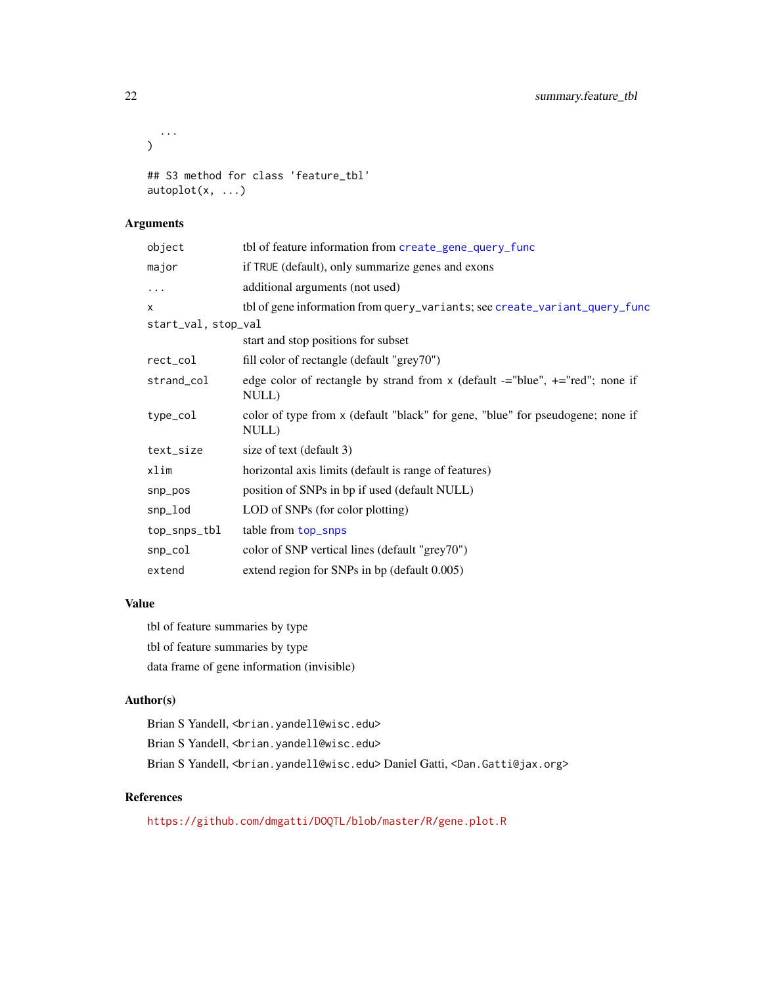```
...
\mathcal{L}## S3 method for class 'feature_tbl'
autoplot(x, ...)
```
# Arguments

| object              | tbl of feature information from create_gene_query_func                                     |
|---------------------|--------------------------------------------------------------------------------------------|
| major               | if TRUE (default), only summarize genes and exons                                          |
| .                   | additional arguments (not used)                                                            |
| x                   | tbl of gene information from query_variants; see create_variant_query_func                 |
| start_val, stop_val |                                                                                            |
|                     | start and stop positions for subset                                                        |
| rect_col            | fill color of rectangle (default "grey70")                                                 |
| strand_col          | edge color of rectangle by strand from x (default $=$ "blue", $+$ ="red"; none if<br>NULL) |
| type_col            | color of type from x (default "black" for gene, "blue" for pseudogene; none if<br>NULL)    |
| text_size           | size of text (default 3)                                                                   |
| xlim                | horizontal axis limits (default is range of features)                                      |
| snp_pos             | position of SNPs in bp if used (default NULL)                                              |
| snp_lod             | LOD of SNPs (for color plotting)                                                           |
| top_snps_tbl        | table from top_snps                                                                        |
| snp_col             | color of SNP vertical lines (default "grey70")                                             |
| extend              | extend region for SNPs in bp (default 0.005)                                               |

# Value

tbl of feature summaries by type tbl of feature summaries by type data frame of gene information (invisible)

#### Author(s)

Brian S Yandell, <br />brian.yandell@wisc.edu> Brian S Yandell, <br />brian.yandell@wisc.edu> Brian S Yandell, <brian.yandell@wisc.edu> Daniel Gatti, <Dan.Gatti@jax.org>

# References

<https://github.com/dmgatti/DOQTL/blob/master/R/gene.plot.R>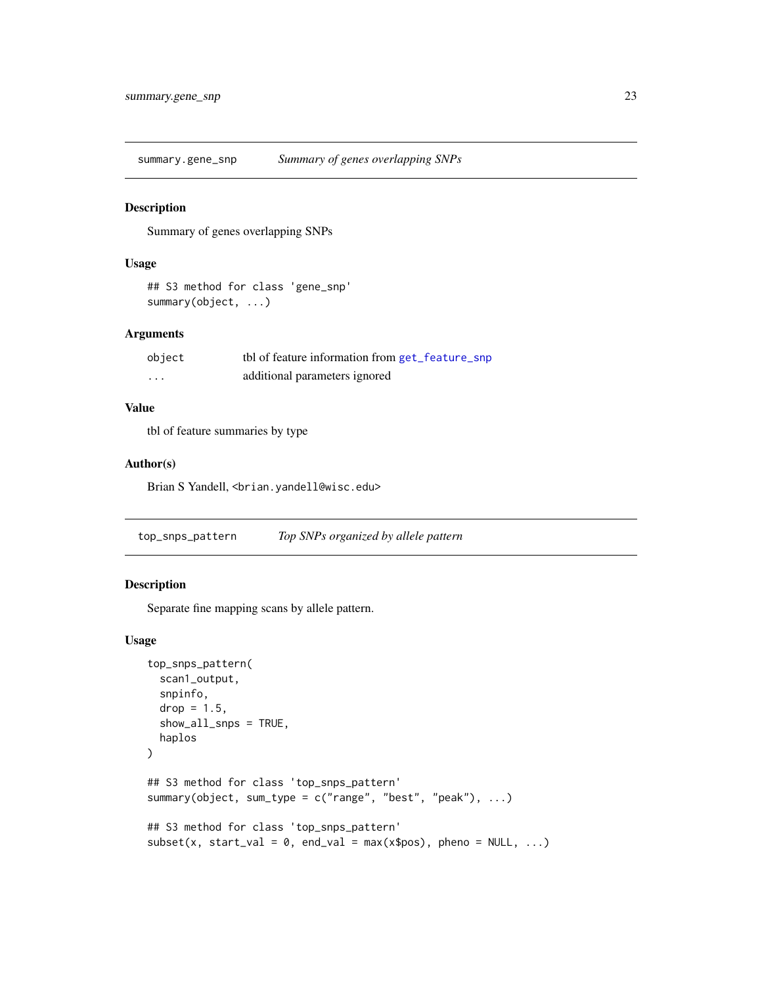<span id="page-22-0"></span>summary.gene\_snp *Summary of genes overlapping SNPs*

#### Description

Summary of genes overlapping SNPs

#### Usage

## S3 method for class 'gene\_snp' summary(object, ...)

#### Arguments

| object            | tbl of feature information from get_feature_snp |
|-------------------|-------------------------------------------------|
| $\cdot\cdot\cdot$ | additional parameters ignored                   |

# Value

tbl of feature summaries by type

#### Author(s)

Brian S Yandell, <br />brian.yandell@wisc.edu>

<span id="page-22-1"></span>top\_snps\_pattern *Top SNPs organized by allele pattern*

# Description

Separate fine mapping scans by allele pattern.

```
top_snps_pattern(
  scan1_output,
  snpinfo,
  drop = 1.5,
  show_all_snps = TRUE,
  haplos
\mathcal{L}## S3 method for class 'top_snps_pattern'
summary(object, sum_type = c("range", "best", "peak"), ...)
## S3 method for class 'top_snps_pattern'
subset(x, start_val = 0, end_val = max(x$pos), phone = NULL, ...)
```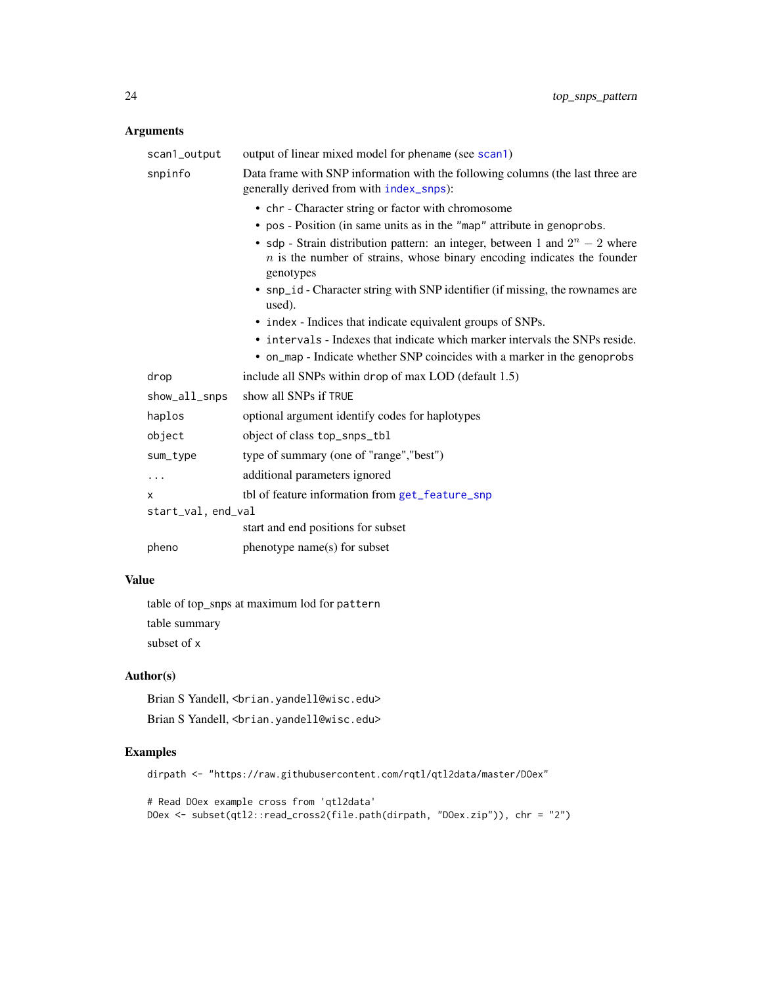# <span id="page-23-0"></span>Arguments

| scan1_output       | output of linear mixed model for phename (see scan1)                                                                                                                     |
|--------------------|--------------------------------------------------------------------------------------------------------------------------------------------------------------------------|
| snpinfo            | Data frame with SNP information with the following columns (the last three are<br>generally derived from with index_snps):                                               |
|                    | • chr - Character string or factor with chromosome                                                                                                                       |
|                    | • pos - Position (in same units as in the "map" attribute in genoprobs.                                                                                                  |
|                    | • sdp - Strain distribution pattern: an integer, between 1 and $2^n - 2$ where<br>$n$ is the number of strains, whose binary encoding indicates the founder<br>genotypes |
|                    | • snp_id - Character string with SNP identifier (if missing, the rownames are<br>used).                                                                                  |
|                    | • index - Indices that indicate equivalent groups of SNPs.                                                                                                               |
|                    | • intervals - Indexes that indicate which marker intervals the SNPs reside.                                                                                              |
|                    | • on_map - Indicate whether SNP coincides with a marker in the genoprobs                                                                                                 |
| drop               | include all SNPs within drop of max LOD (default 1.5)                                                                                                                    |
| show_all_snps      | show all SNPs if TRUE                                                                                                                                                    |
| haplos             | optional argument identify codes for haplotypes                                                                                                                          |
| object             | object of class top_snps_tbl                                                                                                                                             |
| sum_type           | type of summary (one of "range", "best")                                                                                                                                 |
| .                  | additional parameters ignored                                                                                                                                            |
| x                  | tbl of feature information from get_feature_snp                                                                                                                          |
| start_val, end_val |                                                                                                                                                                          |
|                    | start and end positions for subset                                                                                                                                       |
| pheno              | phenotype name(s) for subset                                                                                                                                             |

# Value

table of top\_snps at maximum lod for pattern table summary

subset of x

# Author(s)

Brian S Yandell, <br />brian.yandell@wisc.edu> Brian S Yandell, <br />brian.yandell@wisc.edu>

# Examples

```
dirpath <- "https://raw.githubusercontent.com/rqtl/qtl2data/master/DOex"
```

```
# Read DOex example cross from 'qtl2data'
DOex <- subset(qtl2::read_cross2(file.path(dirpath, "DOex.zip")), chr = "2")
```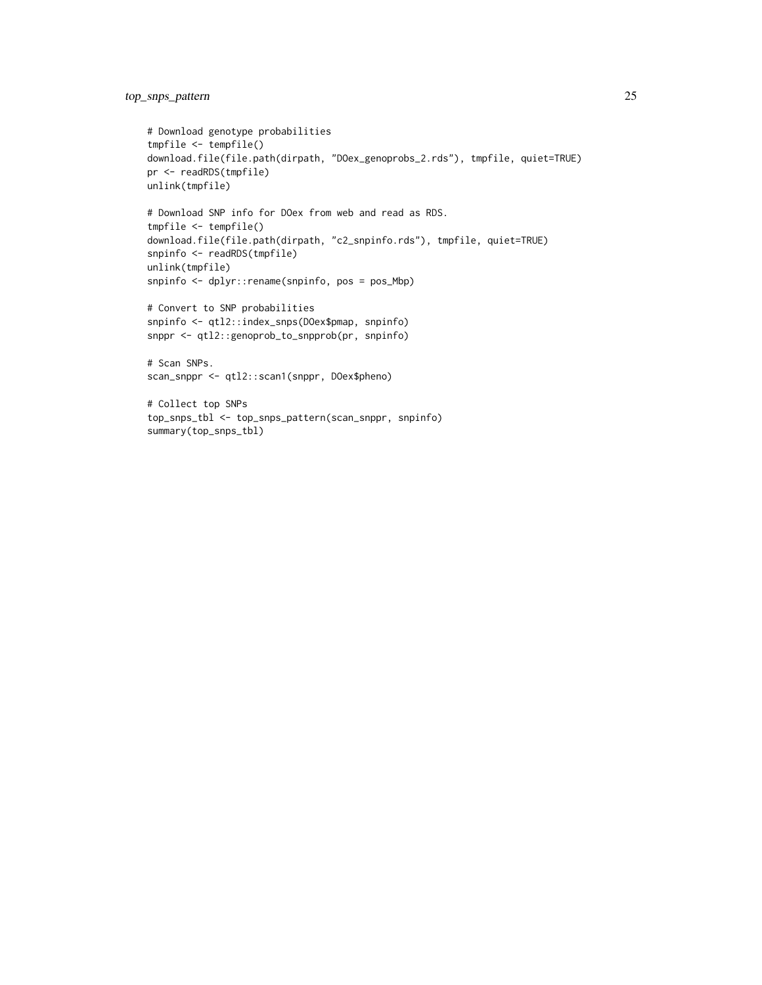```
# Download genotype probabilities
tmpfile <- tempfile()
download.file(file.path(dirpath, "DOex_genoprobs_2.rds"), tmpfile, quiet=TRUE)
pr <- readRDS(tmpfile)
unlink(tmpfile)
# Download SNP info for DOex from web and read as RDS.
tmpfile <- tempfile()
download.file(file.path(dirpath, "c2_snpinfo.rds"), tmpfile, quiet=TRUE)
snpinfo <- readRDS(tmpfile)
unlink(tmpfile)
snpinfo <- dplyr::rename(snpinfo, pos = pos_Mbp)
# Convert to SNP probabilities
snpinfo <- qtl2::index_snps(DOex$pmap, snpinfo)
snppr <- qtl2::genoprob_to_snpprob(pr, snpinfo)
# Scan SNPs.
scan_snppr <- qtl2::scan1(snppr, DOex$pheno)
# Collect top SNPs
```
top\_snps\_tbl <- top\_snps\_pattern(scan\_snppr, snpinfo)

summary(top\_snps\_tbl)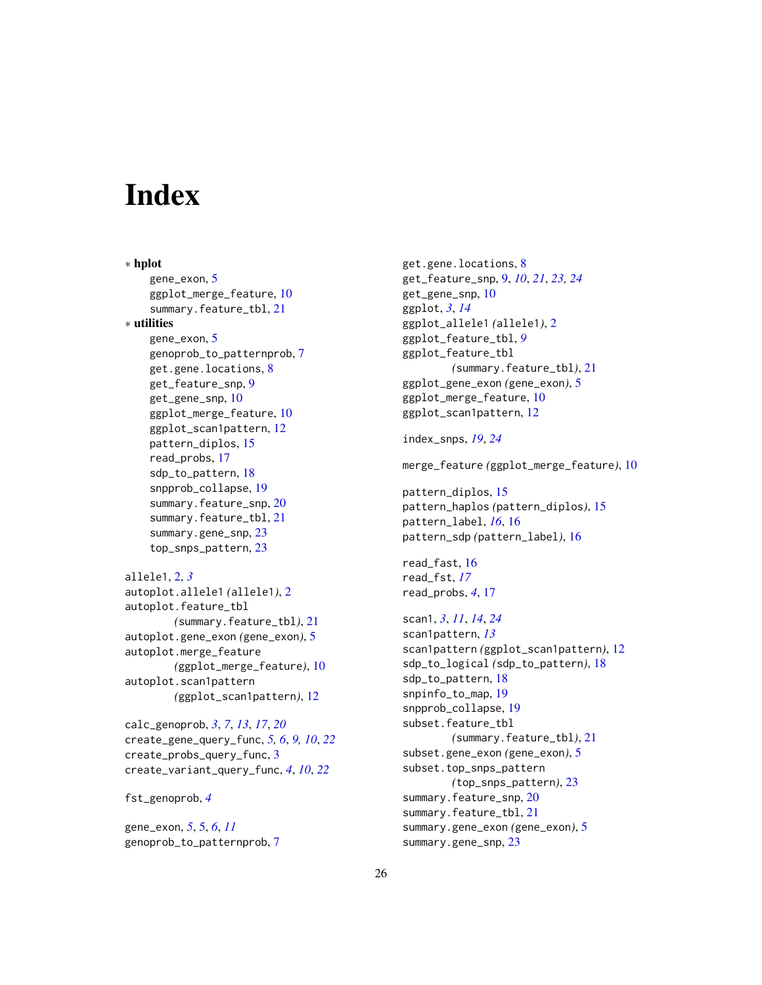# <span id="page-25-0"></span>**Index**

∗ hplot gene\_exon, [5](#page-4-0) ggplot\_merge\_feature, [10](#page-9-0) summary.feature\_tbl, [21](#page-20-0) ∗ utilities gene\_exon, [5](#page-4-0) genoprob\_to\_patternprob, [7](#page-6-0) get.gene.locations, [8](#page-7-0) get\_feature\_snp, [9](#page-8-0) get\_gene\_snp, [10](#page-9-0) ggplot\_merge\_feature, [10](#page-9-0) ggplot\_scan1pattern, [12](#page-11-0) pattern\_diplos, [15](#page-14-0) read\_probs, [17](#page-16-0) sdp\_to\_pattern, [18](#page-17-0) snpprob\_collapse, [19](#page-18-0) summary.feature\_snp, [20](#page-19-0) summary.feature\_tbl, [21](#page-20-0) summary.gene\_snp, [23](#page-22-0) top\_snps\_pattern, [23](#page-22-0) allele1, [2,](#page-1-0) *[3](#page-2-0)*

```
autoplot.allele1 (allele1), 2
autoplot.feature_tbl
        (summary.feature_tbl), 21
autoplot.gene_exon (gene_exon), 5
autoplot.merge_feature
        (ggplot_merge_feature), 10
autoplot.scan1pattern
        (ggplot_scan1pattern), 12
```
calc\_genoprob, *[3](#page-2-0)*, *[7](#page-6-0)*, *[13](#page-12-0)*, *[17](#page-16-0)*, *[20](#page-19-0)* create\_gene\_query\_func, *[5,](#page-4-0) [6](#page-5-0)*, *[9,](#page-8-0) [10](#page-9-0)*, *[22](#page-21-0)* create\_probs\_query\_func, [3](#page-2-0) create\_variant\_query\_func, *[4](#page-3-0)*, *[10](#page-9-0)*, *[22](#page-21-0)*

fst\_genoprob, *[4](#page-3-0)*

gene\_exon, *[5](#page-4-0)*, [5,](#page-4-0) *[6](#page-5-0)*, *[11](#page-10-0)* genoprob\_to\_patternprob, [7](#page-6-0) get.gene.locations, [8](#page-7-0) get\_feature\_snp, [9,](#page-8-0) *[10](#page-9-0)*, *[21](#page-20-0)*, *[23,](#page-22-0) [24](#page-23-0)* get\_gene\_snp, [10](#page-9-0) ggplot, *[3](#page-2-0)*, *[14](#page-13-0)* ggplot\_allele1 *(*allele1*)*, [2](#page-1-0) ggplot\_feature\_tbl, *[9](#page-8-0)* ggplot\_feature\_tbl *(*summary.feature\_tbl*)*, [21](#page-20-0) ggplot\_gene\_exon *(*gene\_exon*)*, [5](#page-4-0) ggplot\_merge\_feature, [10](#page-9-0) ggplot\_scan1pattern, [12](#page-11-0) index\_snps, *[19](#page-18-0)*, *[24](#page-23-0)*

merge\_feature *(*ggplot\_merge\_feature*)*, [10](#page-9-0)

```
pattern_diplos, 15
pattern_haplos (pattern_diplos), 15
pattern_label, 16, 16
pattern_sdp (pattern_label), 16
```
read\_fast, [16](#page-15-0) read\_fst, *[17](#page-16-0)* read\_probs, *[4](#page-3-0)*, [17](#page-16-0)

```
scan1, 3, 11, 14, 24
scan1pattern, 13
scan1pattern (ggplot_scan1pattern), 12
sdp_to_logical (sdp_to_pattern), 18
sdp_to_pattern, 18
snpinfo_to_map, 19
snpprob_collapse, 19
subset.feature_tbl
        (summary.feature_tbl), 21
subset.gene_exon (gene_exon), 5
subset.top_snps_pattern
        (top_snps_pattern), 23
summary.feature_snp, 20
21
summary.gene_exon (gene_exon), 5
summary.gene_snp, 23
```